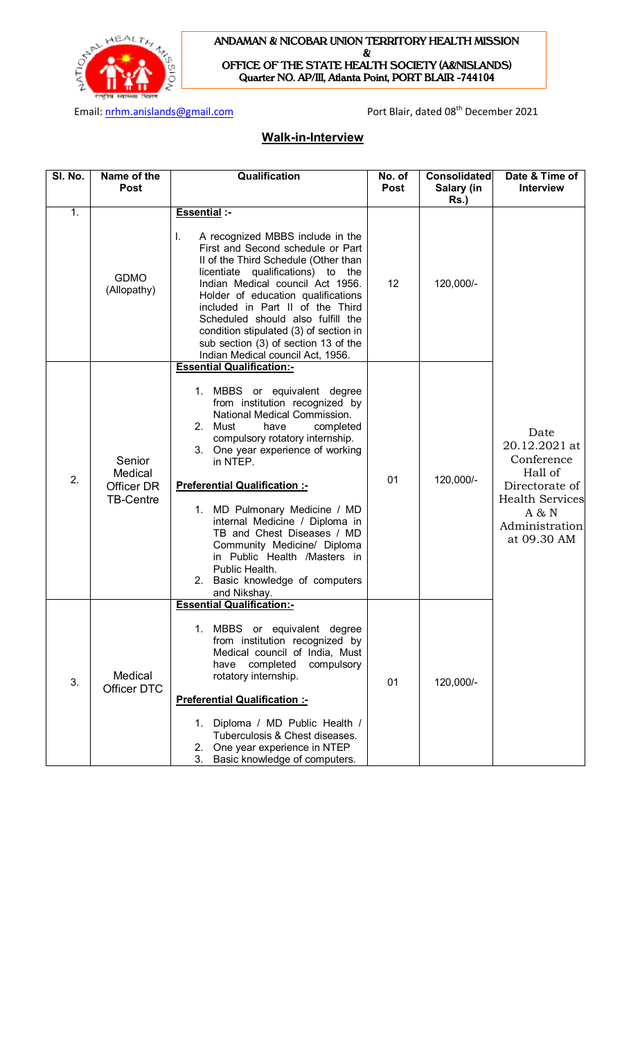

#### **ANDAMAN & NICOBAR UNION TERRITORY HEALTH MISSION &**

**OFFICE OF THE STATE HEALTH SOCIETY (A&NISLANDS) Quarter NO. AP/III, Atlanta Point, PORT BLAIR -744104** 

Email: nrhm.anislands@gmail.com example and port Blair, dated 08<sup>th</sup> December 2021

# **Walk-in-Interview**

| SI. No. | Name of the<br><b>Post</b>                          | Qualification                                                                                                                                                                                                                                                                                                                                                                                                                                                                                                                       | No. of<br><b>Post</b> | <b>Consolidated</b><br>Salary (in<br>$Rs.$ ) | Date & Time of<br><b>Interview</b>                                                                                                   |
|---------|-----------------------------------------------------|-------------------------------------------------------------------------------------------------------------------------------------------------------------------------------------------------------------------------------------------------------------------------------------------------------------------------------------------------------------------------------------------------------------------------------------------------------------------------------------------------------------------------------------|-----------------------|----------------------------------------------|--------------------------------------------------------------------------------------------------------------------------------------|
| 1.      | <b>GDMO</b><br>(Allopathy)                          | <b>Essential :-</b><br>I.<br>A recognized MBBS include in the<br>First and Second schedule or Part<br>II of the Third Schedule (Other than<br>licentiate qualifications) to the<br>Indian Medical council Act 1956.<br>Holder of education qualifications<br>included in Part II of the Third<br>Scheduled should also fulfill the<br>condition stipulated (3) of section in<br>sub section (3) of section 13 of the<br>Indian Medical council Act, 1956.                                                                           | 12                    | 120,000/-                                    | Date<br>20.12.2021 at<br>Conference<br>Hall of<br>Directorate of<br><b>Health Services</b><br>A & N<br>Administration<br>at 09.30 AM |
| 2.      | Senior<br>Medical<br>Officer DR<br><b>TB-Centre</b> | <b>Essential Qualification:-</b><br>1. MBBS or equivalent degree<br>from institution recognized by<br>National Medical Commission.<br>2. Must<br>have<br>completed<br>compulsory rotatory internship.<br>3. One year experience of working<br>in NTEP.<br><b>Preferential Qualification :-</b><br>1. MD Pulmonary Medicine / MD<br>internal Medicine / Diploma in<br>TB and Chest Diseases / MD<br>Community Medicine/ Diploma<br>in Public Health /Masters in<br>Public Health.<br>2. Basic knowledge of computers<br>and Nikshay. | 01                    | 120,000/-                                    |                                                                                                                                      |
| 3.      | Medical<br><b>Officer DTC</b>                       | <b>Essential Qualification:-</b><br>1. MBBS or equivalent degree<br>from institution recognized by<br>Medical council of India, Must<br>completed<br>compulsory<br>have<br>rotatory internship.<br><b>Preferential Qualification :-</b><br>Diploma / MD Public Health /<br>1.<br>Tuberculosis & Chest diseases.<br>One year experience in NTEP<br>2.<br>3.<br>Basic knowledge of computers.                                                                                                                                         | 01                    | 120,000/-                                    |                                                                                                                                      |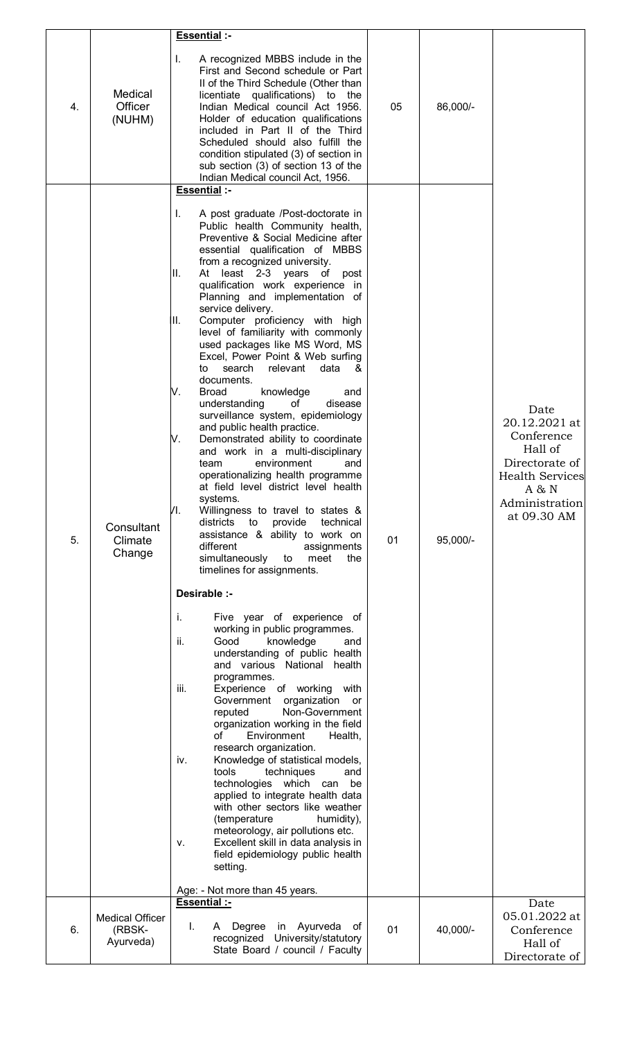|    |                                               | <b>Essential:-</b>                                                                                                                                                                                                                                                                                                                                                                                                                                                                                                                                                                                                                                                                                                                                                                                                                                                                                                                                                                                                                                                                                                                                                                                                                                                                                                                                                                                                                                                                                                                                                                                                                                                                                                                                                                                                                                                 |    |          |                                                                                                                                      |
|----|-----------------------------------------------|--------------------------------------------------------------------------------------------------------------------------------------------------------------------------------------------------------------------------------------------------------------------------------------------------------------------------------------------------------------------------------------------------------------------------------------------------------------------------------------------------------------------------------------------------------------------------------------------------------------------------------------------------------------------------------------------------------------------------------------------------------------------------------------------------------------------------------------------------------------------------------------------------------------------------------------------------------------------------------------------------------------------------------------------------------------------------------------------------------------------------------------------------------------------------------------------------------------------------------------------------------------------------------------------------------------------------------------------------------------------------------------------------------------------------------------------------------------------------------------------------------------------------------------------------------------------------------------------------------------------------------------------------------------------------------------------------------------------------------------------------------------------------------------------------------------------------------------------------------------------|----|----------|--------------------------------------------------------------------------------------------------------------------------------------|
| 4. | Medical<br>Officer<br>(NUHM)                  | I.<br>A recognized MBBS include in the<br>First and Second schedule or Part<br>II of the Third Schedule (Other than<br>licentiate qualifications) to the<br>Indian Medical council Act 1956.<br>Holder of education qualifications<br>included in Part II of the Third<br>Scheduled should also fulfill the<br>condition stipulated (3) of section in<br>sub section (3) of section 13 of the<br>Indian Medical council Act, 1956.                                                                                                                                                                                                                                                                                                                                                                                                                                                                                                                                                                                                                                                                                                                                                                                                                                                                                                                                                                                                                                                                                                                                                                                                                                                                                                                                                                                                                                 | 05 | 86,000/- |                                                                                                                                      |
|    |                                               | <b>Essential :-</b>                                                                                                                                                                                                                                                                                                                                                                                                                                                                                                                                                                                                                                                                                                                                                                                                                                                                                                                                                                                                                                                                                                                                                                                                                                                                                                                                                                                                                                                                                                                                                                                                                                                                                                                                                                                                                                                |    |          |                                                                                                                                      |
| 5. | Consultant<br>Climate<br>Change               | I.<br>A post graduate /Post-doctorate in<br>Public health Community health,<br>Preventive & Social Medicine after<br>essential qualification of MBBS<br>from a recognized university.<br>ΙΙ.<br>At least 2-3 years of post<br>qualification work experience in<br>Planning and implementation of<br>service delivery.<br>Computer proficiency with high<br>Ш.<br>level of familiarity with commonly<br>used packages like MS Word, MS<br>Excel, Power Point & Web surfing<br>search<br>relevant<br>data<br>to<br>&<br>documents.<br>V.<br><b>Broad</b><br>knowledge<br>and<br>understanding<br>of<br>disease<br>surveillance system, epidemiology<br>and public health practice.<br>V.<br>Demonstrated ability to coordinate<br>and work in a multi-disciplinary<br>environment<br>team<br>and<br>operationalizing health programme<br>at field level district level health<br>systems.<br>Л.<br>Willingness to travel to states &<br>districts<br>provide<br>technical<br>to<br>assistance & ability to work on<br>different<br>assignments<br>simultaneously<br>meet<br>the<br>to<br>timelines for assignments.<br>Desirable :-<br>i.<br>Five year of experience of<br>working in public programmes.<br>ii.<br>Good<br>knowledge<br>and<br>understanding of public health<br>and various National health<br>programmes.<br>iii.<br>Experience of working with<br>organization<br>Government<br>or<br>Non-Government<br>reputed<br>organization working in the field<br>of<br>Environment<br>Health,<br>research organization.<br>Knowledge of statistical models,<br>iv.<br>tools<br>techniques<br>and<br>technologies which can<br>be<br>applied to integrate health data<br>with other sectors like weather<br>(temperature<br>humidity),<br>meteorology, air pollutions etc.<br>Excellent skill in data analysis in<br>۷.<br>field epidemiology public health | 01 | 95,000/- | Date<br>20.12.2021 at<br>Conference<br>Hall of<br>Directorate of<br><b>Health Services</b><br>A & N<br>Administration<br>at 09.30 AM |
|    |                                               | setting.                                                                                                                                                                                                                                                                                                                                                                                                                                                                                                                                                                                                                                                                                                                                                                                                                                                                                                                                                                                                                                                                                                                                                                                                                                                                                                                                                                                                                                                                                                                                                                                                                                                                                                                                                                                                                                                           |    |          |                                                                                                                                      |
|    |                                               | Age: - Not more than 45 years.<br><b>Essential:-</b>                                                                                                                                                                                                                                                                                                                                                                                                                                                                                                                                                                                                                                                                                                                                                                                                                                                                                                                                                                                                                                                                                                                                                                                                                                                                                                                                                                                                                                                                                                                                                                                                                                                                                                                                                                                                               |    |          | Date                                                                                                                                 |
| 6. | <b>Medical Officer</b><br>(RBSK-<br>Ayurveda) | Degree in Ayurveda<br>L.<br>оf<br>A<br>recognized University/statutory<br>State Board / council / Faculty                                                                                                                                                                                                                                                                                                                                                                                                                                                                                                                                                                                                                                                                                                                                                                                                                                                                                                                                                                                                                                                                                                                                                                                                                                                                                                                                                                                                                                                                                                                                                                                                                                                                                                                                                          | 01 | 40,000/- | 05.01.2022 at<br>Conference<br>Hall of<br>Directorate of                                                                             |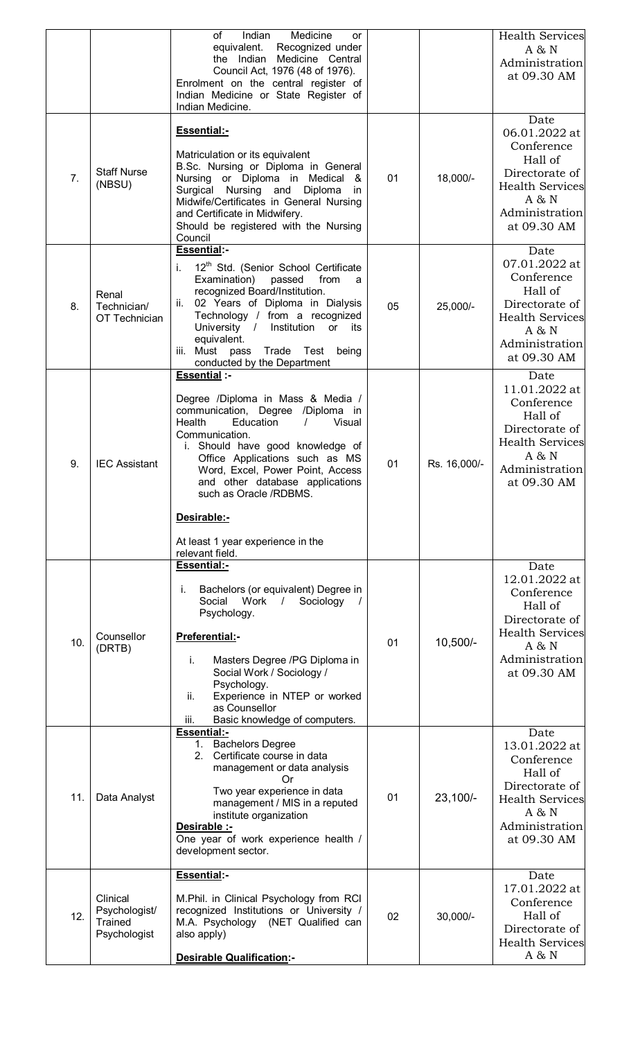|     |                                                      | of<br>Indian<br>Medicine<br><b>or</b><br>equivalent.<br>Recognized under<br>Medicine Central<br>the Indian<br>Council Act, 1976 (48 of 1976).<br>Enrolment on the central register of<br>Indian Medicine or State Register of                                                                                                                                                                                |    |              | <b>Health Services</b><br>A & N<br>Administration<br>at 09.30 AM                                                                     |
|-----|------------------------------------------------------|--------------------------------------------------------------------------------------------------------------------------------------------------------------------------------------------------------------------------------------------------------------------------------------------------------------------------------------------------------------------------------------------------------------|----|--------------|--------------------------------------------------------------------------------------------------------------------------------------|
| 7.  | <b>Staff Nurse</b><br>(NBSU)                         | Indian Medicine.<br>Essential:-<br>Matriculation or its equivalent<br>B.Sc. Nursing or Diploma in General<br>Nursing or Diploma in Medical &<br>Surgical Nursing and<br>Diploma<br>in.<br>Midwife/Certificates in General Nursing<br>and Certificate in Midwifery.<br>Should be registered with the Nursing<br>Council                                                                                       | 01 | 18,000/-     | Date<br>06.01.2022 at<br>Conference<br>Hall of<br>Directorate of<br><b>Health Services</b><br>A & N<br>Administration<br>at 09.30 AM |
| 8.  | Renal<br>Technician/<br>OT Technician                | <b>Essential:-</b><br>12 <sup>th</sup> Std. (Senior School Certificate<br>i.<br>Examination) passed<br>from<br>a<br>recognized Board/Institution.<br>ii. 02 Years of Diploma in Dialysis<br>Technology / from a recognized<br>University /<br>Institution<br>or its<br>equivalent.<br>iii. Must pass<br>Trade Test<br>being<br>conducted by the Department                                                   | 05 | 25,000/-     | Date<br>07.01.2022 at<br>Conference<br>Hall of<br>Directorate of<br><b>Health Services</b><br>A & N<br>Administration<br>at 09.30 AM |
| 9.  | <b>IEC Assistant</b>                                 | <b>Essential :-</b><br>Degree /Diploma in Mass & Media /<br>communication, Degree /Diploma in<br>Health<br>Education<br>$\sqrt{ }$<br>Visual<br>Communication.<br>i. Should have good knowledge of<br>Office Applications such as MS<br>Word, Excel, Power Point, Access<br>and other database applications<br>such as Oracle /RDBMS.<br>Desirable:-<br>At least 1 year experience in the<br>relevant field. | 01 | Rs. 16,000/- | Date<br>11.01.2022 at<br>Conference<br>Hall of<br>Directorate of<br><b>Health Services</b><br>A & N<br>Administration<br>at 09.30 AM |
| 10. | Counsellor<br>(DRTB)                                 | <b>Essential:-</b><br>Bachelors (or equivalent) Degree in<br>Ť.<br>Social Work<br>Sociology<br>$\frac{1}{2}$<br>Psychology.<br>Preferential:-<br>Masters Degree /PG Diploma in<br>i.<br>Social Work / Sociology /<br>Psychology.<br>Experience in NTEP or worked<br>ii.<br>as Counsellor<br>Basic knowledge of computers.<br>iii.                                                                            | 01 | $10,500/-$   | Date<br>12.01.2022 at<br>Conference<br>Hall of<br>Directorate of<br><b>Health Services</b><br>A & N<br>Administration<br>at 09.30 AM |
| 11. | Data Analyst                                         | Essential:-<br>1. Bachelors Degree<br>2. Certificate course in data<br>management or data analysis<br>Or<br>Two year experience in data<br>management / MIS in a reputed<br>institute organization<br>Desirable :-<br>One year of work experience health /<br>development sector.                                                                                                                            | 01 | $23,100/-$   | Date<br>13.01.2022 at<br>Conference<br>Hall of<br>Directorate of<br><b>Health Services</b><br>A & N<br>Administration<br>at 09.30 AM |
| 12. | Clinical<br>Psychologist/<br>Trained<br>Psychologist | Essential:-<br>M.Phil. in Clinical Psychology from RCI<br>recognized Institutions or University /<br>M.A. Psychology (NET Qualified can<br>also apply)<br><b>Desirable Qualification:-</b>                                                                                                                                                                                                                   | 02 | $30,000/-$   | Date<br>17.01.2022 at<br>Conference<br>Hall of<br>Directorate of<br><b>Health Services</b><br>A & N                                  |